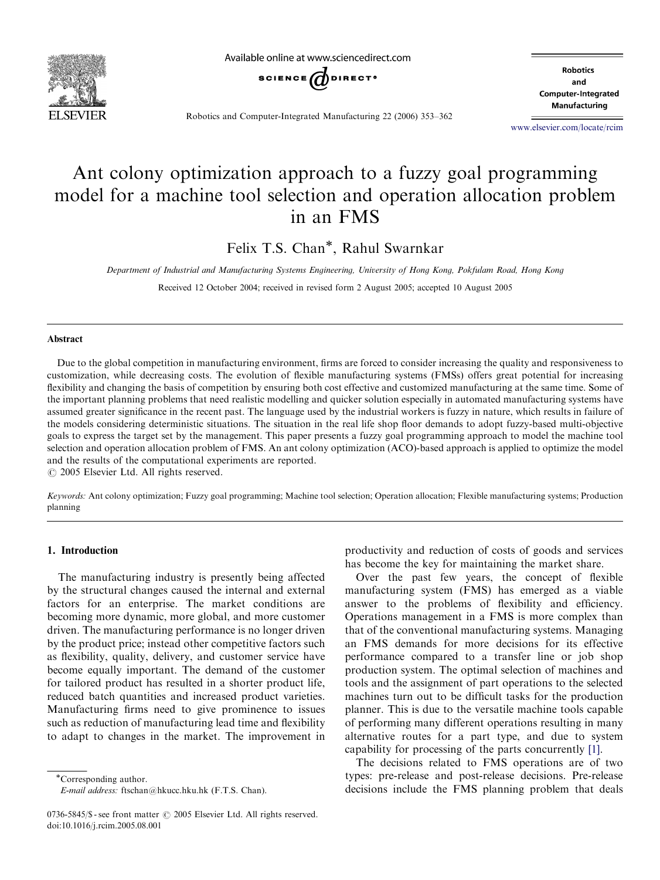

Available online at www.sciencedirect.com



**Robotics** and **Computer-Integrated** Manufacturing

Robotics and Computer-Integrated Manufacturing 22 (2006) 353–362

<www.elsevier.com/locate/rcim>

## Ant colony optimization approach to a fuzzy goal programming model for a machine tool selection and operation allocation problem in an FMS

Felix T.S. Chan\*, Rahul Swarnkar

Department of Industrial and Manufacturing Systems Engineering, University of Hong Kong, Pokfulam Road, Hong Kong

Received 12 October 2004; received in revised form 2 August 2005; accepted 10 August 2005

#### Abstract

Due to the global competition in manufacturing environment, firms are forced to consider increasing the quality and responsiveness to customization, while decreasing costs. The evolution of flexible manufacturing systems (FMSs) offers great potential for increasing flexibility and changing the basis of competition by ensuring both cost effective and customized manufacturing at the same time. Some of the important planning problems that need realistic modelling and quicker solution especially in automated manufacturing systems have assumed greater significance in the recent past. The language used by the industrial workers is fuzzy in nature, which results in failure of the models considering deterministic situations. The situation in the real life shop floor demands to adopt fuzzy-based multi-objective goals to express the target set by the management. This paper presents a fuzzy goal programming approach to model the machine tool selection and operation allocation problem of FMS. An ant colony optimization (ACO)-based approach is applied to optimize the model and the results of the computational experiments are reported.

 $C$  2005 Elsevier Ltd. All rights reserved.

Keywords: Ant colony optimization; Fuzzy goal programming; Machine tool selection; Operation allocation; Flexible manufacturing systems; Production planning

## 1. Introduction

The manufacturing industry is presently being affected by the structural changes caused the internal and external factors for an enterprise. The market conditions are becoming more dynamic, more global, and more customer driven. The manufacturing performance is no longer driven by the product price; instead other competitive factors such as flexibility, quality, delivery, and customer service have become equally important. The demand of the customer for tailored product has resulted in a shorter product life, reduced batch quantities and increased product varieties. Manufacturing firms need to give prominence to issues such as reduction of manufacturing lead time and flexibility to adapt to changes in the market. The improvement in

Corresponding author.

E-mail address: ftschan@hkucc.hku.hk (F.T.S. Chan).

productivity and reduction of costs of goods and services has become the key for maintaining the market share.

Over the past few years, the concept of flexible manufacturing system (FMS) has emerged as a viable answer to the problems of flexibility and efficiency. Operations management in a FMS is more complex than that of the conventional manufacturing systems. Managing an FMS demands for more decisions for its effective performance compared to a transfer line or job shop production system. The optimal selection of machines and tools and the assignment of part operations to the selected machines turn out to be difficult tasks for the production planner. This is due to the versatile machine tools capable of performing many different operations resulting in many alternative routes for a part type, and due to system capability for processing of the parts concurrently [\[1\].](#page--1-0)

The decisions related to FMS operations are of two types: pre-release and post-release decisions. Pre-release decisions include the FMS planning problem that deals

<sup>0736-5845/\$ -</sup> see front matter  $\odot$  2005 Elsevier Ltd. All rights reserved. doi:10.1016/j.rcim.2005.08.001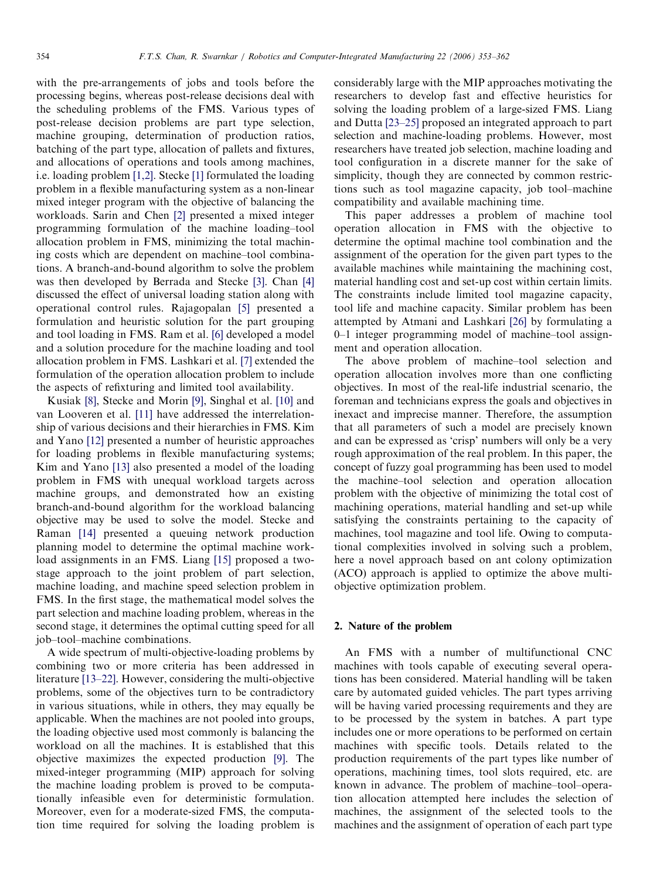with the pre-arrangements of jobs and tools before the processing begins, whereas post-release decisions deal with the scheduling problems of the FMS. Various types of post-release decision problems are part type selection, machine grouping, determination of production ratios, batching of the part type, allocation of pallets and fixtures, and allocations of operations and tools among machines, i.e. loading problem [\[1,2\]](#page--1-0). Stecke [\[1\]](#page--1-0) formulated the loading problem in a flexible manufacturing system as a non-linear mixed integer program with the objective of balancing the workloads. Sarin and Chen [\[2\]](#page--1-0) presented a mixed integer programming formulation of the machine loading–tool allocation problem in FMS, minimizing the total machining costs which are dependent on machine–tool combinations. A branch-and-bound algorithm to solve the problem was then developed by Berrada and Stecke [\[3\].](#page--1-0) Chan [\[4\]](#page--1-0) discussed the effect of universal loading station along with operational control rules. Rajagopalan [\[5\]](#page--1-0) presented a formulation and heuristic solution for the part grouping and tool loading in FMS. Ram et al. [\[6\]](#page--1-0) developed a model and a solution procedure for the machine loading and tool allocation problem in FMS. Lashkari et al. [\[7\]](#page--1-0) extended the formulation of the operation allocation problem to include the aspects of refixturing and limited tool availability.

Kusiak [\[8\]](#page--1-0), Stecke and Morin [\[9\],](#page--1-0) Singhal et al. [\[10\]](#page--1-0) and van Looveren et al. [\[11\]](#page--1-0) have addressed the interrelationship of various decisions and their hierarchies in FMS. Kim and Yano [\[12\]](#page--1-0) presented a number of heuristic approaches for loading problems in flexible manufacturing systems; Kim and Yano [\[13\]](#page--1-0) also presented a model of the loading problem in FMS with unequal workload targets across machine groups, and demonstrated how an existing branch-and-bound algorithm for the workload balancing objective may be used to solve the model. Stecke and Raman [\[14\]](#page--1-0) presented a queuing network production planning model to determine the optimal machine workload assignments in an FMS. Liang [\[15\]](#page--1-0) proposed a twostage approach to the joint problem of part selection, machine loading, and machine speed selection problem in FMS. In the first stage, the mathematical model solves the part selection and machine loading problem, whereas in the second stage, it determines the optimal cutting speed for all job–tool–machine combinations.

A wide spectrum of multi-objective-loading problems by combining two or more criteria has been addressed in literature [\[13–22\]](#page--1-0). However, considering the multi-objective problems, some of the objectives turn to be contradictory in various situations, while in others, they may equally be applicable. When the machines are not pooled into groups, the loading objective used most commonly is balancing the workload on all the machines. It is established that this objective maximizes the expected production [\[9\].](#page--1-0) The mixed-integer programming (MIP) approach for solving the machine loading problem is proved to be computationally infeasible even for deterministic formulation. Moreover, even for a moderate-sized FMS, the computation time required for solving the loading problem is considerably large with the MIP approaches motivating the researchers to develop fast and effective heuristics for solving the loading problem of a large-sized FMS. Liang and Dutta [\[23–25\]](#page--1-0) proposed an integrated approach to part selection and machine-loading problems. However, most researchers have treated job selection, machine loading and tool configuration in a discrete manner for the sake of simplicity, though they are connected by common restrictions such as tool magazine capacity, job tool–machine compatibility and available machining time.

This paper addresses a problem of machine tool operation allocation in FMS with the objective to determine the optimal machine tool combination and the assignment of the operation for the given part types to the available machines while maintaining the machining cost, material handling cost and set-up cost within certain limits. The constraints include limited tool magazine capacity, tool life and machine capacity. Similar problem has been attempted by Atmani and Lashkari [\[26\]](#page--1-0) by formulating a 0–1 integer programming model of machine–tool assignment and operation allocation.

The above problem of machine–tool selection and operation allocation involves more than one conflicting objectives. In most of the real-life industrial scenario, the foreman and technicians express the goals and objectives in inexact and imprecise manner. Therefore, the assumption that all parameters of such a model are precisely known and can be expressed as 'crisp' numbers will only be a very rough approximation of the real problem. In this paper, the concept of fuzzy goal programming has been used to model the machine–tool selection and operation allocation problem with the objective of minimizing the total cost of machining operations, material handling and set-up while satisfying the constraints pertaining to the capacity of machines, tool magazine and tool life. Owing to computational complexities involved in solving such a problem, here a novel approach based on ant colony optimization (ACO) approach is applied to optimize the above multiobjective optimization problem.

### 2. Nature of the problem

An FMS with a number of multifunctional CNC machines with tools capable of executing several operations has been considered. Material handling will be taken care by automated guided vehicles. The part types arriving will be having varied processing requirements and they are to be processed by the system in batches. A part type includes one or more operations to be performed on certain machines with specific tools. Details related to the production requirements of the part types like number of operations, machining times, tool slots required, etc. are known in advance. The problem of machine–tool–operation allocation attempted here includes the selection of machines, the assignment of the selected tools to the machines and the assignment of operation of each part type